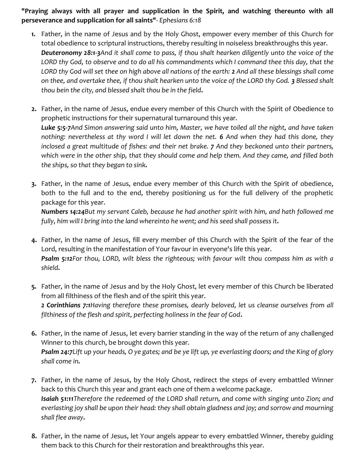"Praying always with all prayer and supplication in the Spirit, and watching thereunto with all perseverance and supplication for all saints"- Ephesians 6:18

- 1. Father, in the name of Jesus and by the Holy Ghost, empower every member of this Church for total obedience to scriptural instructions, thereby resulting in noiseless breakthroughs this year. Deuteronomy 28:1-3And it shall come to pass, if thou shalt hearken diligently unto the voice of the LORD thy God, to observe and to do all his commandments which I command thee this day, that the LORD thy God will set thee on high above all nations of the earth: 2 And all these blessings shall come on thee, and overtake thee, if thou shalt hearken unto the voice of the LORD thy God. 3 Blessed shalt thou bein the city, and blessed shalt thou be in the field.
- 2. Father, in the name of Jesus, endue every member of this Church with the Spirit of Obedience to prophetic instructions for their supernatural turnaround this year. Luke 5:5-7And Simon answering said unto him, Master, we have toiled all the night, and have taken nothing: nevertheless at thy word I will let down the net. 6 And when they had this done, they inclosed a great multitude of fishes: and their net brake. 7 And they beckoned unto their partners, which were in the other ship, that they should come and help them. And they came, and filled both the ships, so that they began to sink.
- 3. Father, in the name of Jesus, endue every member of this Church with the Spirit of obedience, both to the full and to the end, thereby positioning us for the full delivery of the prophetic package for this year.

Numbers 14:24But my servant Caleb, because he had another spirit with him, and hath followed me fully, him will I bring into the land whereinto he went; and his seed shall possess it.

- 4. Father, in the name of Jesus, fill every member of this Church with the Spirit of the fear of the Lord, resulting in the manifestation of Your favour in everyone's life this year. Psalm 5:12For thou, LORD, wilt bless the righteous; with favour wilt thou compass him as with a shield.
- 5. Father, in the name of Jesus and by the Holy Ghost, let every member of this Church be liberated from all filthiness of the flesh and of the spirit this year. 2 Corinthians 7:1Having therefore these promises, dearly beloved, let us cleanse ourselves from all filthiness of the flesh and spirit, perfecting holiness in the fear of God.
- 6. Father, in the name of Jesus, let every barrier standing in the way of the return of any challenged Winner to this church, be brought down this year. Psalm 24:7Lift up your heads, O ye gates; and be ye lift up, ye everlasting doors; and the King of glory shall come in.
- 7. Father, in the name of Jesus, by the Holy Ghost, redirect the steps of every embattled Winner back to this Church this year and grant each one of them a welcome package. Isaiah 51:11Therefore the redeemed of the LORD shall return, and come with singing unto Zion; and everlasting joy shall be upon their head: they shall obtain gladness and joy; and sorrow and mourning shall flee away.
- 8. Father, in the name of Jesus, let Your angels appear to every embattled Winner, thereby guiding them back to this Church for their restoration and breakthroughs this year.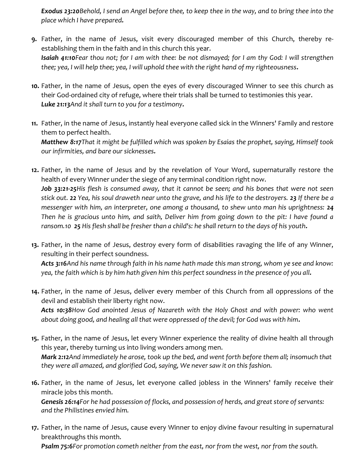Exodus 23:20 Behold, I send an Angel before thee, to keep thee in the way, and to bring thee into the place which I have prepared.

- 9. Father, in the name of Jesus, visit every discouraged member of this Church, thereby reestablishing them in the faith and in this church this year. Isaiah 41:10Fear thou not; for I am with thee: be not dismayed; for I am thy God: I will strengthen thee; yea, I will help thee; yea, I will uphold thee with the right hand of my righteousness.
- 10. Father, in the name of Jesus, open the eyes of every discouraged Winner to see this church as their God-ordained city of refuge, where their trials shall be turned to testimonies this year. Luke 21:13And it shall turn to you for a testimony.
- 11. Father, in the name of Jesus, instantly heal everyone called sick in the Winners' Family and restore them to perfect health. Matthew 8:17That it might be fulfilled which was spoken by Esaias the prophet, saying, Himself took our infirmities, and bare our sicknesses.

12. Father, in the name of Jesus and by the revelation of Your Word, supernaturally restore the health of every Winner under the siege of any terminal condition right now. Job 33:21-25His flesh is consumed away, that it cannot be seen; and his bones that were not seen stick out. 22 Yea, his soul draweth near unto the grave, and his life to the destroyers. 23 If there be a messenger with him, an interpreter, one among a thousand, to shew unto man his uprightness: 24 Then he is gracious unto him, and saith, Deliver him from going down to the pit: I have found a ransom.10 25 His flesh shall be fresher than a child's: he shall return to the days of his youth.

13. Father, in the name of Jesus, destroy every form of disabilities ravaging the life of any Winner, resulting in their perfect soundness.

Acts 3:16And his name through faith in his name hath made this man strong, whom ye see and know: yea, the faith which is by him hath given him this perfect soundness in the presence of you all.

14. Father, in the name of Jesus, deliver every member of this Church from all oppressions of the devil and establish their liberty right now.

Acts 10:38How God anointed Jesus of Nazareth with the Holy Ghost and with power: who went about doing good, and healing all that were oppressed of the devil; for God was with him.

- 15. Father, in the name of Jesus, let every Winner experience the reality of divine health all through this year, thereby turning us into living wonders among men. Mark 2:12And immediately he arose, took up the bed, and went forth before them all; insomuch that they were all amazed, and glorified God, saying, We never saw it on this fashion.
- 16. Father, in the name of Jesus, let everyone called jobless in the Winners' family receive their miracle jobs this month.

Genesis 26:14For he had possession of flocks, and possession of herds, and great store of servants: and the Philistines envied him.

17. Father, in the name of Jesus, cause every Winner to enjoy divine favour resulting in supernatural breakthroughs this month.

Psalm 75:6For promotion cometh neither from the east, nor from the west, nor from the south.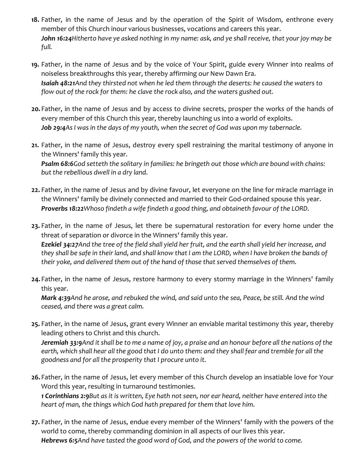- 18. Father, in the name of Jesus and by the operation of the Spirit of Wisdom, enthrone every member of this Church inour various businesses, vocations and careers this year. John 16:24 Hitherto have ye asked nothing in my name: ask, and ye shall receive, that your joy may be full.
- 19. Father, in the name of Jesus and by the voice of Your Spirit, guide every Winner into realms of noiseless breakthroughs this year, thereby affirming our New Dawn Era. Isaiah 48:21And they thirsted not when he led them through the deserts: he caused the waters to flow out of the rock for them: he clave the rock also, and the waters gushed out.
- 20. Father, in the name of Jesus and by access to divine secrets, prosper the works of the hands of every member of this Church this year, thereby launching us into a world of exploits. Job 29:4As I was in the days of my youth, when the secret of God was upon my tabernacle.
- 21. Father, in the name of Jesus, destroy every spell restraining the marital testimony of anyone in the Winners' family this year. Psalm 68:6God setteth the solitary in families: he bringeth out those which are bound with chains: but the rebellious dwell in a dry land.
- 22. Father, in the name of Jesus and by divine favour, let everyone on the line for miracle marriage in the Winners' family be divinely connected and married to their God-ordained spouse this year. Proverbs 18:22Whoso findeth a wife findeth a good thing, and obtaineth favour of the LORD.
- 23. Father, in the name of Jesus, let there be supernatural restoration for every home under the threat of separation or divorce in the Winners' family this year. Ezekiel 34:27And the tree of the field shall yield her fruit, and the earth shall yield her increase, and they shall be safe in their land, and shall know that I am the LORD, when I have broken the bands of their yoke, and delivered them out of the hand of those that served themselves of them.
- 24. Father, in the name of Jesus, restore harmony to every stormy marriage in the Winners' family this year.

Mark 4:39And he arose, and rebuked the wind, and said unto the sea, Peace, be still. And the wind ceased, and there was a great calm.

25. Father, in the name of Jesus, grant every Winner an enviable marital testimony this year, thereby leading others to Christ and this church.

Jeremiah 33:9And it shall be to me a name of joy, a praise and an honour before all the nations of the earth, which shall hear all the good that I do unto them: and they shall fear and tremble for all the goodness and for all the prosperity that I procure unto it.

26.Father, in the name of Jesus, let every member of this Church develop an insatiable love for Your Word this year, resulting in turnaround testimonies. 1 Corinthians 2:9But as it is written, Eye hath not seen, nor ear heard, neither have entered into the

heart of man, the things which God hath prepared for them that love him.

27. Father, in the name of Jesus, endue every member of the Winners' family with the powers of the world to come, thereby commanding dominion in all aspects of our lives this year. Hebrews 6:5And have tasted the good word of God, and the powers of the world to come.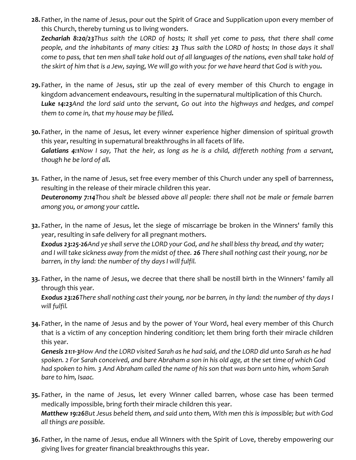28. Father, in the name of Jesus, pour out the Spirit of Grace and Supplication upon every member of this Church, thereby turning us to living wonders.

**Zechariah 8:20/23**Thus saith the LORD of hosts; It shall yet come to pass, that there shall come people, and the inhabitants of many cities: 23 Thus saith the LORD of hosts; In those days it shall come to pass, that ten men shall take hold out of all languages of the nations, even shall take hold of the skirt of him that is a Jew, saying, We will go with you: for we have heard that God is with you.

- 29.Father, in the name of Jesus, stir up the zeal of every member of this Church to engage in kingdom advancement endeavours, resulting in the supernatural multiplication of this Church. Luke 14:23And the lord said unto the servant, Go out into the highways and hedges, and compel them to come in, that my house may be filled.
- 30. Father, in the name of Jesus, let every winner experience higher dimension of spiritual growth this year, resulting in supernatural breakthroughs in all facets of life. Galatians 4:1Now I say, That the heir, as long as he is a child, differeth nothing from a servant, though he be lord of all.
- 31. Father, in the name of Jesus, set free every member of this Church under any spell of barrenness, resulting in the release of their miracle children this year. **Deuteronomy 7:14**Thou shalt be blessed above all people: there shall not be male or female barren among you, or among your cattle.

32. Father, in the name of Jesus, let the siege of miscarriage be broken in the Winners' family this year, resulting in safe delivery for all pregnant mothers. Exodus 23:25-26And ye shall serve the LORD your God, and he shall bless thy bread, and thy water; and I will take sickness away from the midst of thee. 26 There shall nothing cast their young, nor be barren, in thy land: the number of thy days I will fulfil.

33. Father, in the name of Jesus, we decree that there shall be nostill birth in the Winners' family all through this year.

Exodus 23:26 There shall nothing cast their young, nor be barren, in thy land: the number of thy days I will fulfil.

34. Father, in the name of Jesus and by the power of Your Word, heal every member of this Church that is a victim of any conception hindering condition; let them bring forth their miracle children this year.

Genesis 21:1-3How And the LORD visited Sarah as he had said, and the LORD did unto Sarah as he had spoken. 2 For Sarah conceived, and bare Abraham a son in his old age, at the set time of which God had spoken to him. 3 And Abraham called the name of his son that was born unto him, whom Sarah bare to him, Isaac.

- 35. Father, in the name of Jesus, let every Winner called barren, whose case has been termed medically impossible, bring forth their miracle children this year. Matthew 19:26But Jesus beheld them, and said unto them, With men this is impossible; but with God all things are possible.
- 36. Father, in the name of Jesus, endue all Winners with the Spirit of Love, thereby empowering our giving lives for greater financial breakthroughs this year.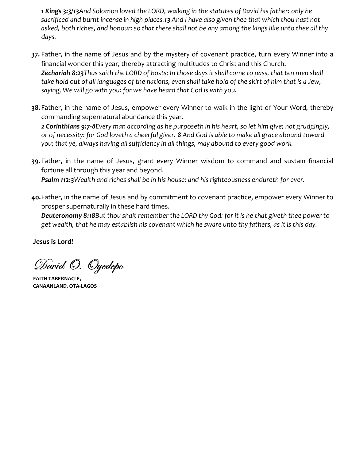1 Kings 3:3/13And Solomon loved the LORD, walking in the statutes of David his father: only he sacrificed and burnt incense in high places.13 And I have also given thee that which thou hast not asked, both riches, and honour: so that there shall not be any among the kings like unto thee all thy days.

- 37. Father, in the name of Jesus and by the mystery of covenant practice, turn every Winner into a financial wonder this year, thereby attracting multitudes to Christ and this Church. **Zechariah 8:23**Thus saith the LORD of hosts; In those days it shall come to pass, that ten men shall take hold out of all languages of the nations, even shall take hold of the skirt of him that is a Jew, saying, We will go with you: for we have heard that God is with you.
- 38. Father, in the name of Jesus, empower every Winner to walk in the light of Your Word, thereby commanding supernatural abundance this year.

2 Corinthians 9:7-8Every man according as he purposeth in his heart, so let him give; not grudgingly, or of necessity: for God loveth a cheerful giver. 8 And God is able to make all grace abound toward you; that ye, always having all sufficiency in all things, may abound to every good work.

39. Father, in the name of Jesus, grant every Winner wisdom to command and sustain financial fortune all through this year and beyond.

Psalm 112:3 Wealth and riches shall be in his house: and his righteousness endureth for ever.

40.Father, in the name of Jesus and by commitment to covenant practice, empower every Winner to prosper supernaturally in these hard times.

Deuteronomy 8:18But thou shalt remember the LORD thy God: for it is he that giveth thee power to get wealth, that he may establish his covenant which he sware unto thy fathers, as it is this day.

Jesus is Lord!

David O. Oyedepo

FAITH TABERNACLE, CANAANLAND, OTA-LAGOS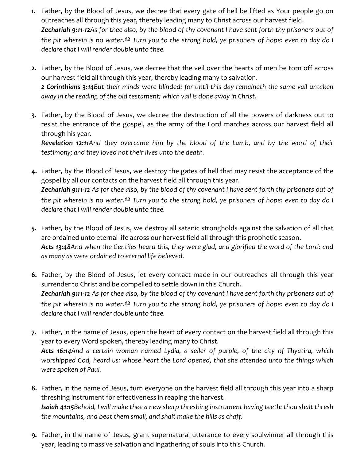- 1. Father, by the Blood of Jesus, we decree that every gate of hell be lifted as Your people go on outreaches all through this year, thereby leading many to Christ across our harvest field. Zechariah 9:11-12As for thee also, by the blood of thy covenant I have sent forth thy prisoners out of the pit wherein is no water.12 Turn you to the strong hold, ye prisoners of hope: even to day do I declare that I will render double unto thee.
- 2. Father, by the Blood of Jesus, we decree that the veil over the hearts of men be torn off across our harvest field all through this year, thereby leading many to salvation. 2 Corinthians 3:14But their minds were blinded: for until this day remaineth the same vail untaken away in the reading of the old testament; which vail is done away in Christ.
- 3. Father, by the Blood of Jesus, we decree the destruction of all the powers of darkness out to resist the entrance of the gospel, as the army of the Lord marches across our harvest field all through his year.

Revelation 12:11And they overcame him by the blood of the Lamb, and by the word of their testimony; and they loved not their lives unto the death.

- 4. Father, by the Blood of Jesus, we destroy the gates of hell that may resist the acceptance of the gospel by all our contacts on the harvest field all through this year. Zechariah 9:11-12 As for thee also, by the blood of thy covenant I have sent forth thy prisoners out of the pit wherein is no water.12 Turn you to the strong hold, ye prisoners of hope: even to day do I declare that I will render double unto thee.
- 5. Father, by the Blood of Jesus, we destroy all satanic strongholds against the salvation of all that are ordained unto eternal life across our harvest field all through this prophetic season. Acts 13:48And when the Gentiles heard this, they were glad, and glorified the word of the Lord: and as many as were ordained to eternal life believed.
- 6. Father, by the Blood of Jesus, let every contact made in our outreaches all through this year surrender to Christ and be compelled to settle down in this Church. Zechariah 9:11-12 As for thee also, by the blood of thy covenant I have sent forth thy prisoners out of the pit wherein is no water.<sup>12</sup> Turn you to the strong hold, ye prisoners of hope: even to day do I declare that I will render double unto thee.
- 7. Father, in the name of Jesus, open the heart of every contact on the harvest field all through this year to every Word spoken, thereby leading many to Christ. Acts 16:14And a certain woman named Lydia, a seller of purple, of the city of Thyatira, which worshipped God, heard us: whose heart the Lord opened, that she attended unto the things which were spoken of Paul.
- 8. Father, in the name of Jesus, turn everyone on the harvest field all through this year into a sharp threshing instrument for effectiveness in reaping the harvest. Isaiah 41:15Behold, I will make thee a new sharp threshing instrument having teeth: thou shalt thresh the mountains, and beat them small, and shalt make the hills as chaff.
- 9. Father, in the name of Jesus, grant supernatural utterance to every soulwinner all through this year, leading to massive salvation and ingathering of souls into this Church.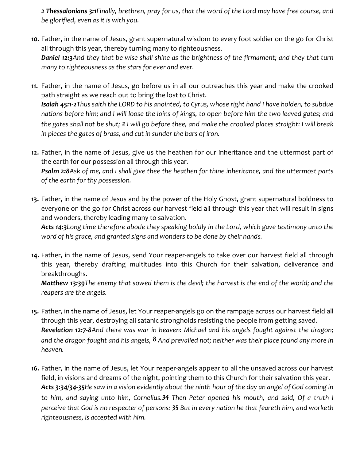2 Thessalonians 3:1Finally, brethren, pray for us, that the word of the Lord may have free course, and be glorified, even as it is with you.

- 10. Father, in the name of Jesus, grant supernatural wisdom to every foot soldier on the go for Christ all through this year, thereby turning many to righteousness. Daniel 12:3And they that be wise shall shine as the brightness of the firmament; and they that turn many to righteousness as the stars for ever and ever.
- 11. Father, in the name of Jesus, go before us in all our outreaches this year and make the crooked path straight as we reach out to bring the lost to Christ. Isaiah 45:1-2Thus saith the LORD to his anointed, to Cyrus, whose right hand I have holden, to subdue nations before him; and I will loose the loins of kings, to open before him the two leaved gates; and the gates shall not be shut; 2 I will go before thee, and make the crooked places straight: I will break in pieces the gates of brass, and cut in sunder the bars of iron.
- 12. Father, in the name of Jesus, give us the heathen for our inheritance and the uttermost part of the earth for our possession all through this year.

Psalm 2:8Ask of me, and I shall give thee the heathen for thine inheritance, and the uttermost parts of the earth for thy possession.

13. Father, in the name of Jesus and by the power of the Holy Ghost, grant supernatural boldness to everyone on the go for Christ across our harvest field all through this year that will result in signs and wonders, thereby leading many to salvation.

Acts 14:3Long time therefore abode they speaking boldly in the Lord, which gave testimony unto the word of his grace, and granted signs and wonders to be done by their hands.

14. Father, in the name of Jesus, send Your reaper-angels to take over our harvest field all through this year, thereby drafting multitudes into this Church for their salvation, deliverance and breakthroughs.

Matthew 13:39The enemy that sowed them is the devil; the harvest is the end of the world; and the reapers are the angels.

- 15. Father, in the name of Jesus, let Your reaper-angels go on the rampage across our harvest field all through this year, destroying all satanic strongholds resisting the people from getting saved. Revelation 12:7-8And there was war in heaven: Michael and his angels fought against the dragon; and the dragon fought and his angels,  $8$  And prevailed not; neither was their place found any more in heaven.
- 16. Father, in the name of Jesus, let Your reaper-angels appear to all the unsaved across our harvest field, in visions and dreams of the night, pointing them to this Church for their salvation this year. Acts 3:34/34-35He saw in a vision evidently about the ninth hour of the day an angel of God coming in to him, and saying unto him, Cornelius.34 Then Peter opened his mouth, and said, Of a truth I perceive that God is no respecter of persons: 35 But in every nation he that feareth him, and worketh righteousness, is accepted with him.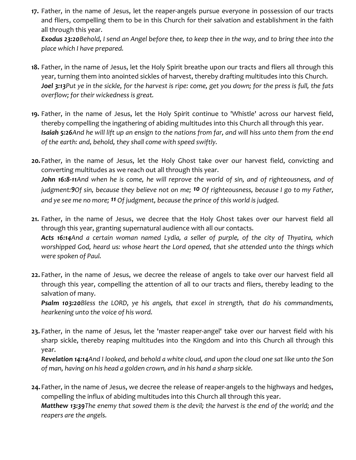17. Father, in the name of Jesus, let the reaper-angels pursue everyone in possession of our tracts and fliers, compelling them to be in this Church for their salvation and establishment in the faith all through this year.

Exodus 23:20 Behold, I send an Angel before thee, to keep thee in the way, and to bring thee into the place which I have prepared.

- 18. Father, in the name of Jesus, let the Holy Spirit breathe upon our tracts and fliers all through this year, turning them into anointed sickles of harvest, thereby drafting multitudes into this Church. Joel 3:13Put ye in the sickle, for the harvest is ripe: come, get you down; for the press is full, the fats overflow; for their wickedness is great.
- 19. Father, in the name of Jesus, let the Holy Spirit continue to 'Whistle' across our harvest field, thereby compelling the ingathering of abiding multitudes into this Church all through this year. Isaiah 5:26And he will lift up an ensign to the nations from far, and will hiss unto them from the end of the earth: and, behold, they shall come with speed swiftly.

20. Father, in the name of Jesus, let the Holy Ghost take over our harvest field, convicting and converting multitudes as we reach out all through this year. John 16:8-11And when he is come, he will reprove the world of sin, and of righteousness, and of judgment:9Of sin, because they believe not on me; <sup>10</sup> Of righteousness, because I go to my Father, and ye see me no more; 11 Of judgment, because the prince of this world is judged.

21. Father, in the name of Jesus, we decree that the Holy Ghost takes over our harvest field all through this year, granting supernatural audience with all our contacts. Acts 16:14And a certain woman named Lydia, a seller of purple, of the city of Thyatira, which worshipped God, heard us: whose heart the Lord opened, that she attended unto the things which were spoken of Paul.

22. Father, in the name of Jesus, we decree the release of angels to take over our harvest field all through this year, compelling the attention of all to our tracts and fliers, thereby leading to the salvation of many.

Psalm 103:20Bless the LORD, ye his angels, that excel in strength, that do his commandments, hearkening unto the voice of his word.

23. Father, in the name of Jesus, let the 'master reaper-angel' take over our harvest field with his sharp sickle, thereby reaping multitudes into the Kingdom and into this Church all through this year.

Revelation 14:14And I looked, and behold a white cloud, and upon the cloud one sat like unto the Son of man, having on his head a golden crown, and in his hand a sharp sickle.

24. Father, in the name of Jesus, we decree the release of reaper-angels to the highways and hedges, compelling the influx of abiding multitudes into this Church all through this year. Matthew 13:39The enemy that sowed them is the devil; the harvest is the end of the world; and the reapers are the angels.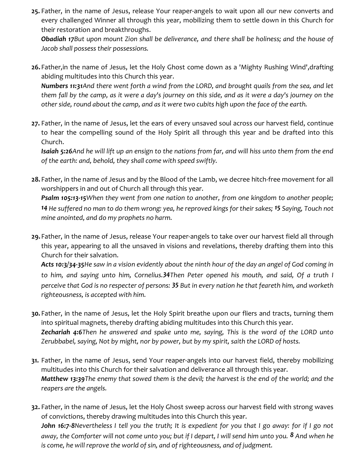25. Father, in the name of Jesus, release Your reaper-angels to wait upon all our new converts and every challenged Winner all through this year, mobilizing them to settle down in this Church for their restoration and breakthroughs.

Obadiah 17But upon mount Zion shall be deliverance, and there shall be holiness; and the house of Jacob shall possess their possessions.

26.Father,in the name of Jesus, let the Holy Ghost come down as a 'Mighty Rushing Wind',drafting abiding multitudes into this Church this year.

Numbers 11:31 And there went forth a wind from the LORD, and brought quails from the sea, and let them fall by the camp, as it were a day's journey on this side, and as it were a day's journey on the other side, round about the camp, and as it were two cubits high upon the face of the earth.

27. Father, in the name of Jesus, let the ears of every unsaved soul across our harvest field, continue to hear the compelling sound of the Holy Spirit all through this year and be drafted into this Church.

Isaiah 5:26And he will lift up an ensign to the nations from far, and will hiss unto them from the end of the earth: and, behold, they shall come with speed swiftly.

28. Father, in the name of Jesus and by the Blood of the Lamb, we decree hitch-free movement for all worshippers in and out of Church all through this year.

**Psalm 105:13-15**When they went from one nation to another, from one kingdom to another people; 14 He suffered no man to do them wrong: yea, he reproved kings for their sakes; 15 Saying, Touch not mine anointed, and do my prophets no harm.

29.Father, in the name of Jesus, release Your reaper-angels to take over our harvest field all through this year, appearing to all the unsaved in visions and revelations, thereby drafting them into this Church for their salvation.

Acts 10:3/34-35He saw in a vision evidently about the ninth hour of the day an angel of God coming in to him, and saying unto him, Cornelius.34Then Peter opened his mouth, and said, Of a truth I perceive that God is no respecter of persons: 35 But in every nation he that feareth him, and worketh righteousness, is accepted with him.

- 30. Father, in the name of Jesus, let the Holy Spirit breathe upon our fliers and tracts, turning them into spiritual magnets, thereby drafting abiding multitudes into this Church this year. Zechariah 4:6Then he answered and spake unto me, saying, This is the word of the LORD unto Zerubbabel, saying, Not by might, nor by power, but by my spirit, saith the LORD of hosts.
- 31. Father, in the name of Jesus, send Your reaper-angels into our harvest field, thereby mobilizing multitudes into this Church for their salvation and deliverance all through this year. Matthew 13:39The enemy that sowed them is the devil; the harvest is the end of the world; and the reapers are the angels.
- 32. Father, in the name of Jesus, let the Holy Ghost sweep across our harvest field with strong waves of convictions, thereby drawing multitudes into this Church this year. John 16:7-8Nevertheless I tell you the truth; It is expedient for you that I go away: for if I go not away, the Comforter will not come unto you; but if I depart, I will send him unto you. 8 And when he is come, he will reprove the world of sin, and of righteousness, and of judgment.